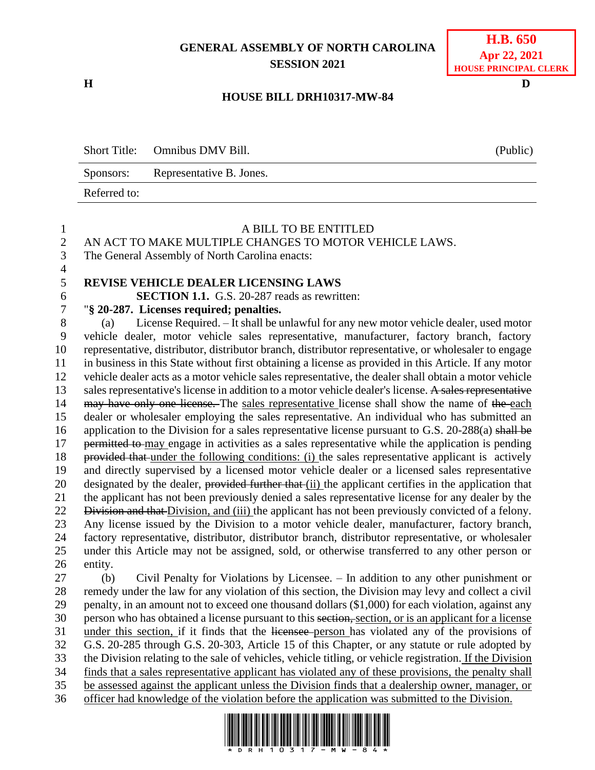# **GENERAL ASSEMBLY OF NORTH CAROLINA SESSION 2021**

**H D**

## **H.B. 650 Apr 22, 2021 HOUSE PRINCIPAL CLERK**

## **HOUSE BILL DRH10317-MW-84**

Short Title: Omnibus DMV Bill. (Public) Sponsors: Representative B. Jones. Referred to:

| $\mathbf{1}$                                                                             | A BILL TO BE ENTITLED                                                                                    |  |  |  |  |
|------------------------------------------------------------------------------------------|----------------------------------------------------------------------------------------------------------|--|--|--|--|
| $\overline{c}$                                                                           | AN ACT TO MAKE MULTIPLE CHANGES TO MOTOR VEHICLE LAWS.                                                   |  |  |  |  |
| $\overline{3}$                                                                           | The General Assembly of North Carolina enacts:                                                           |  |  |  |  |
| $\overline{4}$                                                                           |                                                                                                          |  |  |  |  |
| 5                                                                                        | REVISE VEHICLE DEALER LICENSING LAWS                                                                     |  |  |  |  |
| $\boldsymbol{6}$                                                                         | <b>SECTION 1.1.</b> G.S. 20-287 reads as rewritten:                                                      |  |  |  |  |
| $\overline{7}$                                                                           | "§ 20-287. Licenses required; penalties.                                                                 |  |  |  |  |
| $8\,$                                                                                    | License Required. - It shall be unlawful for any new motor vehicle dealer, used motor<br>(a)             |  |  |  |  |
| 9                                                                                        | vehicle dealer, motor vehicle sales representative, manufacturer, factory branch, factory                |  |  |  |  |
| 10                                                                                       | representative, distributor, distributor branch, distributor representative, or wholesaler to engage     |  |  |  |  |
| 11                                                                                       | in business in this State without first obtaining a license as provided in this Article. If any motor    |  |  |  |  |
| 12                                                                                       | vehicle dealer acts as a motor vehicle sales representative, the dealer shall obtain a motor vehicle     |  |  |  |  |
| 13                                                                                       | sales representative's license in addition to a motor vehicle dealer's license. A sales representative   |  |  |  |  |
| 14                                                                                       | may have only one license. The sales representative license shall show the name of the each              |  |  |  |  |
| 15                                                                                       | dealer or wholesaler employing the sales representative. An individual who has submitted an              |  |  |  |  |
| 16                                                                                       | application to the Division for a sales representative license pursuant to G.S. 20-288(a) shall be       |  |  |  |  |
| 17                                                                                       | permitted to may engage in activities as a sales representative while the application is pending         |  |  |  |  |
| 18                                                                                       | provided that under the following conditions: (i) the sales representative applicant is actively         |  |  |  |  |
| 19                                                                                       | and directly supervised by a licensed motor vehicle dealer or a licensed sales representative            |  |  |  |  |
| 20                                                                                       | designated by the dealer, provided further that (ii) the applicant certifies in the application that     |  |  |  |  |
| 21                                                                                       | the applicant has not been previously denied a sales representative license for any dealer by the        |  |  |  |  |
| 22                                                                                       | Division and that Division, and (iii) the applicant has not been previously convicted of a felony.       |  |  |  |  |
| 23                                                                                       | Any license issued by the Division to a motor vehicle dealer, manufacturer, factory branch,              |  |  |  |  |
| 24                                                                                       | factory representative, distributor, distributor branch, distributor representative, or wholesaler       |  |  |  |  |
| 25                                                                                       | under this Article may not be assigned, sold, or otherwise transferred to any other person or            |  |  |  |  |
| 26                                                                                       | entity.                                                                                                  |  |  |  |  |
| 27                                                                                       | Civil Penalty for Violations by Licensee. - In addition to any other punishment or<br>(b)                |  |  |  |  |
| 28                                                                                       | remedy under the law for any violation of this section, the Division may levy and collect a civil        |  |  |  |  |
| 29                                                                                       | penalty, in an amount not to exceed one thousand dollars (\$1,000) for each violation, against any       |  |  |  |  |
| 30                                                                                       | person who has obtained a license pursuant to this section, section, or is an applicant for a license    |  |  |  |  |
| 31                                                                                       | under this section, if it finds that the licensee person has violated any of the provisions of           |  |  |  |  |
| 32                                                                                       | G.S. 20-285 through G.S. 20-303, Article 15 of this Chapter, or any statute or rule adopted by           |  |  |  |  |
| 33                                                                                       | the Division relating to the sale of vehicles, vehicle titling, or vehicle registration. If the Division |  |  |  |  |
| 34                                                                                       | finds that a sales representative applicant has violated any of these provisions, the penalty shall      |  |  |  |  |
| 35                                                                                       | be assessed against the applicant unless the Division finds that a dealership owner, manager, or         |  |  |  |  |
| 36                                                                                       | officer had knowledge of the violation before the application was submitted to the Division.             |  |  |  |  |
| I IODINO IODINO IONI DIALINONI ODINO INDI NON IODI NODODINI IODINI INDONI IONI DIALINONI |                                                                                                          |  |  |  |  |

 $\frac{1}{2}$  ,  $\frac{1}{2}$  ,  $\frac{1}{2}$  ,  $\frac{1}{2}$  ,  $\frac{1}{2}$  ,  $\frac{1}{2}$  ,  $\frac{1}{2}$  ,  $\frac{1}{2}$  ,  $\frac{1}{2}$  ,  $\frac{1}{2}$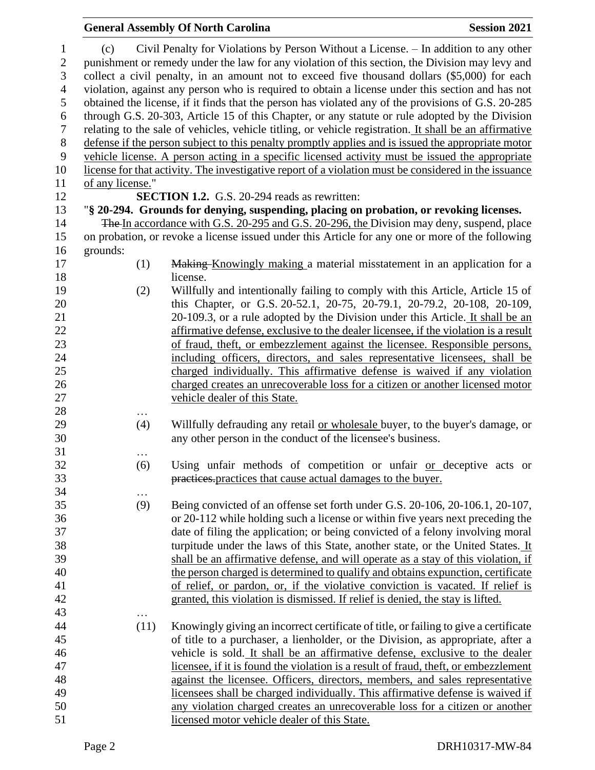## **General Assembly Of North Carolina Session 2021**  (c) Civil Penalty for Violations by Person Without a License. – In addition to any other punishment or remedy under the law for any violation of this section, the Division may levy and collect a civil penalty, in an amount not to exceed five thousand dollars (\$5,000) for each violation, against any person who is required to obtain a license under this section and has not obtained the license, if it finds that the person has violated any of the provisions of G.S. 20-285 through G.S. 20-303, Article 15 of this Chapter, or any statute or rule adopted by the Division relating to the sale of vehicles, vehicle titling, or vehicle registration. It shall be an affirmative defense if the person subject to this penalty promptly applies and is issued the appropriate motor vehicle license. A person acting in a specific licensed activity must be issued the appropriate license for that activity. The investigative report of a violation must be considered in the issuance of any license." **SECTION 1.2.** G.S. 20-294 reads as rewritten: "**§ 20-294. Grounds for denying, suspending, placing on probation, or revoking licenses.** The In accordance with G.S. 20-295 and G.S. 20-296, the Division may deny, suspend, place on probation, or revoke a license issued under this Article for any one or more of the following grounds: (1) Making Knowingly making a material misstatement in an application for a license. (2) Willfully and intentionally failing to comply with this Article, Article 15 of this Chapter, or G.S. 20-52.1, 20-75, 20-79.1, 20-79.2, 20-108, 20-109, 20-109.3, or a rule adopted by the Division under this Article. It shall be an affirmative defense, exclusive to the dealer licensee, if the violation is a result of fraud, theft, or embezzlement against the licensee. Responsible persons, including officers, directors, and sales representative licensees, shall be charged individually. This affirmative defense is waived if any violation charged creates an unrecoverable loss for a citizen or another licensed motor vehicle dealer of this State. … (4) Willfully defrauding any retail or wholesale buyer, to the buyer's damage, or any other person in the conduct of the licensee's business. … (6) Using unfair methods of competition or unfair or deceptive acts or practices.practices that cause actual damages to the buyer. … (9) Being convicted of an offense set forth under G.S. 20-106, 20-106.1, 20-107, or 20-112 while holding such a license or within five years next preceding the date of filing the application; or being convicted of a felony involving moral turpitude under the laws of this State, another state, or the United States. It shall be an affirmative defense, and will operate as a stay of this violation, if the person charged is determined to qualify and obtains expunction, certificate of relief, or pardon, or, if the violative conviction is vacated. If relief is granted, this violation is dismissed. If relief is denied, the stay is lifted.

 (11) Knowingly giving an incorrect certificate of title, or failing to give a certificate of title to a purchaser, a lienholder, or the Division, as appropriate, after a vehicle is sold. It shall be an affirmative defense, exclusive to the dealer licensee, if it is found the violation is a result of fraud, theft, or embezzlement against the licensee. Officers, directors, members, and sales representative licensees shall be charged individually. This affirmative defense is waived if any violation charged creates an unrecoverable loss for a citizen or another licensed motor vehicle dealer of this State.

…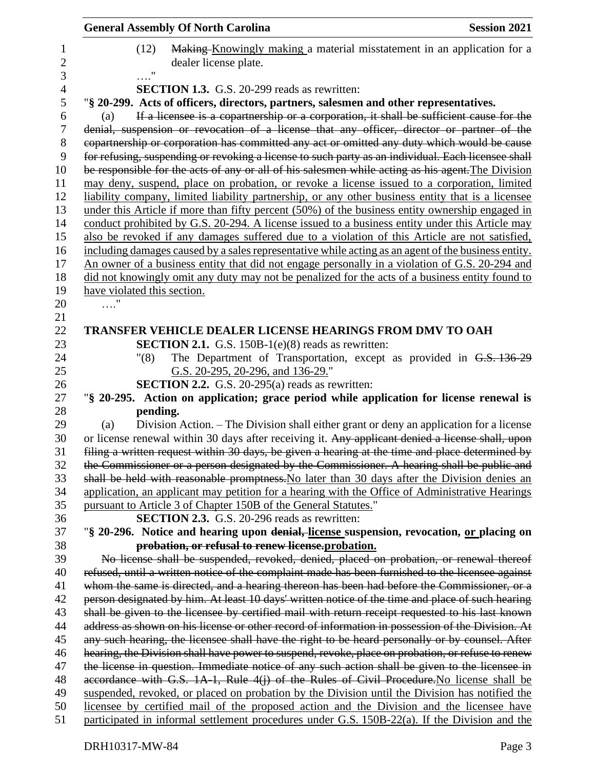|                     | <b>General Assembly Of North Carolina</b>                                                                                                                                                    | <b>Session 2021</b> |
|---------------------|----------------------------------------------------------------------------------------------------------------------------------------------------------------------------------------------|---------------------|
| 1<br>$\overline{2}$ | Making Knowingly making a material misstatement in an application for a<br>(12)<br>dealer license plate.                                                                                     |                     |
| 3                   | $\ldots$ "                                                                                                                                                                                   |                     |
| 4                   | <b>SECTION 1.3.</b> G.S. 20-299 reads as rewritten:                                                                                                                                          |                     |
| 5<br>6              | "§ 20-299. Acts of officers, directors, partners, salesmen and other representatives.                                                                                                        |                     |
| 7                   | If a licensee is a copartnership or a corporation, it shall be sufficient cause for the<br>(a)<br>denial, suspension or revocation of a license that any officer, director or partner of the |                     |
| 8                   | copartnership or corporation has committed any act or omitted any duty which would be cause                                                                                                  |                     |
| 9                   | for refusing, suspending or revoking a license to such party as an individual. Each licensee shall                                                                                           |                     |
| 10                  | be responsible for the acts of any or all of his salesmen while acting as his agent. The Division                                                                                            |                     |
| 11                  | may deny, suspend, place on probation, or revoke a license issued to a corporation, limited                                                                                                  |                     |
| 12                  | liability company, limited liability partnership, or any other business entity that is a licensee                                                                                            |                     |
| 13                  | under this Article if more than fifty percent (50%) of the business entity ownership engaged in                                                                                              |                     |
| 14                  | conduct prohibited by G.S. 20-294. A license issued to a business entity under this Article may                                                                                              |                     |
| 15                  | also be revoked if any damages suffered due to a violation of this Article are not satisfied,                                                                                                |                     |
| 16                  | including damages caused by a sales representative while acting as an agent of the business entity.                                                                                          |                     |
| 17                  | An owner of a business entity that did not engage personally in a violation of G.S. 20-294 and                                                                                               |                     |
| 18                  | did not knowingly omit any duty may not be penalized for the acts of a business entity found to                                                                                              |                     |
| 19                  | have violated this section.                                                                                                                                                                  |                     |
| 20                  |                                                                                                                                                                                              |                     |
| 21<br>22            | <b>TRANSFER VEHICLE DEALER LICENSE HEARINGS FROM DMV TO OAH</b>                                                                                                                              |                     |
| 23                  | <b>SECTION 2.1.</b> G.S. 150B-1 $(e)(8)$ reads as rewritten:                                                                                                                                 |                     |
| 24                  | The Department of Transportation, except as provided in G.S. 136-29<br>"(8)                                                                                                                  |                     |
| 25                  | G.S. 20-295, 20-296, and 136-29."                                                                                                                                                            |                     |
| 26                  | <b>SECTION 2.2.</b> G.S. 20-295(a) reads as rewritten:                                                                                                                                       |                     |
| 27                  | "\\$ 20-295. Action on application; grace period while application for license renewal is                                                                                                    |                     |
| 28                  | pending.                                                                                                                                                                                     |                     |
| 29                  | Division Action. – The Division shall either grant or deny an application for a license<br>(a)                                                                                               |                     |
| 30                  | or license renewal within 30 days after receiving it. Any applicant denied a license shall, upon                                                                                             |                     |
| 31                  | filing a written request within 30 days, be given a hearing at the time and place determined by                                                                                              |                     |
| 32                  | the Commissioner or a person designated by the Commissioner. A hearing shall be public and                                                                                                   |                     |
| 33                  | shall be held with reasonable promptness. No later than 30 days after the Division denies an                                                                                                 |                     |
| 34<br>35            | application, an applicant may petition for a hearing with the Office of Administrative Hearings                                                                                              |                     |
| 36                  | pursuant to Article 3 of Chapter 150B of the General Statutes."<br><b>SECTION 2.3.</b> G.S. 20-296 reads as rewritten:                                                                       |                     |
| 37                  | "§ 20-296. Notice and hearing upon denial, license suspension, revocation, or placing on                                                                                                     |                     |
| 38                  | probation, or refusal to renew license, probation.                                                                                                                                           |                     |
| 39                  | No license shall be suspended, revoked, denied, placed on probation, or renewal thereof                                                                                                      |                     |
| 40                  | refused, until a written notice of the complaint made has been furnished to the licensee against                                                                                             |                     |
| 41                  | whom the same is directed, and a hearing thereon has been had before the Commissioner, or a                                                                                                  |                     |
| 42                  | person designated by him. At least 10 days' written notice of the time and place of such hearing                                                                                             |                     |
| 43                  | shall be given to the licensee by certified mail with return receipt requested to his last known                                                                                             |                     |
| 44                  | address as shown on his license or other record of information in possession of the Division. At                                                                                             |                     |
| 45                  | any such hearing, the licensee shall have the right to be heard personally or by counsel. After                                                                                              |                     |
| 46                  | hearing, the Division shall have power to suspend, revoke, place on probation, or refuse to renew                                                                                            |                     |
| 47                  | the license in question. Immediate notice of any such action shall be given to the licensee in                                                                                               |                     |
| 48                  | accordance with G.S. 1A-1, Rule 4(j) of the Rules of Civil Procedure. No license shall be                                                                                                    |                     |
| 49<br>50            | suspended, revoked, or placed on probation by the Division until the Division has notified the<br>licensee by certified mail of the proposed action and the Division and the licensee have   |                     |
| 51                  | participated in informal settlement procedures under G.S. 150B-22(a). If the Division and the                                                                                                |                     |
|                     |                                                                                                                                                                                              |                     |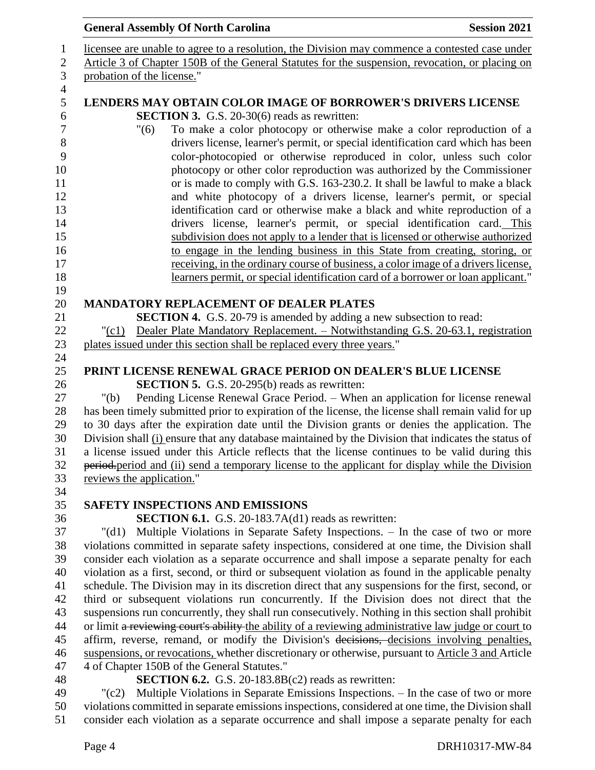|                            | <b>General Assembly Of North Carolina</b>                                                                                                                | <b>Session 2021</b> |
|----------------------------|----------------------------------------------------------------------------------------------------------------------------------------------------------|---------------------|
|                            | licensee are unable to agree to a resolution, the Division may commence a contested case under                                                           |                     |
|                            | Article 3 of Chapter 150B of the General Statutes for the suspension, revocation, or placing on                                                          |                     |
| probation of the license." |                                                                                                                                                          |                     |
|                            |                                                                                                                                                          |                     |
|                            | LENDERS MAY OBTAIN COLOR IMAGE OF BORROWER'S DRIVERS LICENSE                                                                                             |                     |
|                            | <b>SECTION 3.</b> G.S. 20-30(6) reads as rewritten:                                                                                                      |                     |
| "(6)                       | To make a color photocopy or otherwise make a color reproduction of a                                                                                    |                     |
|                            | drivers license, learner's permit, or special identification card which has been                                                                         |                     |
|                            | color-photocopied or otherwise reproduced in color, unless such color                                                                                    |                     |
|                            | photocopy or other color reproduction was authorized by the Commissioner<br>or is made to comply with G.S. 163-230.2. It shall be lawful to make a black |                     |
|                            | and white photocopy of a drivers license, learner's permit, or special                                                                                   |                     |
|                            | identification card or otherwise make a black and white reproduction of a                                                                                |                     |
|                            | drivers license, learner's permit, or special identification card. This                                                                                  |                     |
|                            | subdivision does not apply to a lender that is licensed or otherwise authorized                                                                          |                     |
|                            | to engage in the lending business in this State from creating, storing, or                                                                               |                     |
|                            | receiving, in the ordinary course of business, a color image of a drivers license,                                                                       |                     |
|                            | learners permit, or special identification card of a borrower or loan applicant."                                                                        |                     |
|                            |                                                                                                                                                          |                     |
|                            | <b>MANDATORY REPLACEMENT OF DEALER PLATES</b>                                                                                                            |                     |
|                            | <b>SECTION 4.</b> G.S. 20-79 is amended by adding a new subsection to read:                                                                              |                     |
| "(c1)                      | Dealer Plate Mandatory Replacement. - Notwithstanding G.S. 20-63.1, registration                                                                         |                     |
|                            | plates issued under this section shall be replaced every three years."                                                                                   |                     |
|                            | PRINT LICENSE RENEWAL GRACE PERIOD ON DEALER'S BLUE LICENSE                                                                                              |                     |
|                            | <b>SECTION 5.</b> G.S. 20-295(b) reads as rewritten:                                                                                                     |                     |
| " $(b)$                    | Pending License Renewal Grace Period. - When an application for license renewal                                                                          |                     |
|                            | has been timely submitted prior to expiration of the license, the license shall remain valid for up                                                      |                     |
|                            | to 30 days after the expiration date until the Division grants or denies the application. The                                                            |                     |
|                            | Division shall (i) ensure that any database maintained by the Division that indicates the status of                                                      |                     |
|                            | a license issued under this Article reflects that the license continues to be valid during this                                                          |                     |
|                            | period-period and (ii) send a temporary license to the applicant for display while the Division                                                          |                     |
| reviews the application."  |                                                                                                                                                          |                     |
|                            | <b>SAFETY INSPECTIONS AND EMISSIONS</b>                                                                                                                  |                     |
|                            | <b>SECTION 6.1.</b> G.S. 20-183.7A(d1) reads as rewritten:                                                                                               |                     |
| $"(\mathrm{d}1)$           | Multiple Violations in Separate Safety Inspections. - In the case of two or more                                                                         |                     |
|                            | violations committed in separate safety inspections, considered at one time, the Division shall                                                          |                     |
|                            | consider each violation as a separate occurrence and shall impose a separate penalty for each                                                            |                     |
|                            | violation as a first, second, or third or subsequent violation as found in the applicable penalty                                                        |                     |
|                            | schedule. The Division may in its discretion direct that any suspensions for the first, second, or                                                       |                     |
|                            | third or subsequent violations run concurrently. If the Division does not direct that the                                                                |                     |
|                            | suspensions run concurrently, they shall run consecutively. Nothing in this section shall prohibit                                                       |                     |
|                            | or limit a reviewing court's ability the ability of a reviewing administrative law judge or court to                                                     |                     |
|                            | affirm, reverse, remand, or modify the Division's decisions, decisions involving penalties,                                                              |                     |
|                            | suspensions, or revocations, whether discretionary or otherwise, pursuant to Article 3 and Article                                                       |                     |
|                            | 4 of Chapter 150B of the General Statutes."                                                                                                              |                     |
|                            | <b>SECTION 6.2.</b> G.S. 20-183.8B $(c2)$ reads as rewritten:                                                                                            |                     |
| $"({c}2)$                  | Multiple Violations in Separate Emissions Inspections. - In the case of two or more                                                                      |                     |
|                            | violations committed in separate emissions inspections, considered at one time, the Division shall                                                       |                     |

consider each violation as a separate occurrence and shall impose a separate penalty for each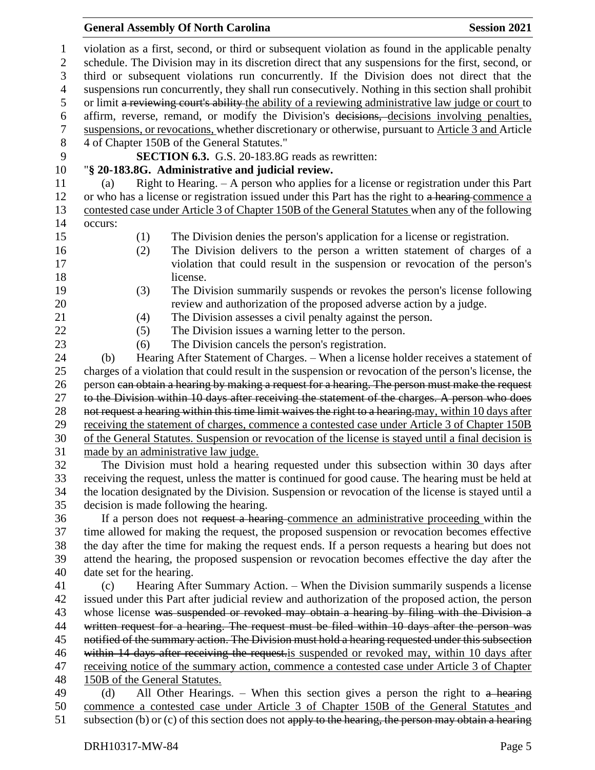#### **General Assembly Of North Carolina Session 2021**

 violation as a first, second, or third or subsequent violation as found in the applicable penalty schedule. The Division may in its discretion direct that any suspensions for the first, second, or third or subsequent violations run concurrently. If the Division does not direct that the suspensions run concurrently, they shall run consecutively. Nothing in this section shall prohibit or limit a reviewing court's ability the ability of a reviewing administrative law judge or court to affirm, reverse, remand, or modify the Division's decisions, decisions involving penalties, suspensions, or revocations, whether discretionary or otherwise, pursuant to Article 3 and Article 4 of Chapter 150B of the General Statutes." **SECTION 6.3.** G.S. 20-183.8G reads as rewritten: "**§ 20-183.8G. Administrative and judicial review.** (a) Right to Hearing. – A person who applies for a license or registration under this Part 12 or who has a license or registration issued under this Part has the right to a hearing commence a contested case under Article 3 of Chapter 150B of the General Statutes when any of the following occurs: (1) The Division denies the person's application for a license or registration. (2) The Division delivers to the person a written statement of charges of a violation that could result in the suspension or revocation of the person's license. (3) The Division summarily suspends or revokes the person's license following review and authorization of the proposed adverse action by a judge. (4) The Division assesses a civil penalty against the person. (5) The Division issues a warning letter to the person. (6) The Division cancels the person's registration. (b) Hearing After Statement of Charges. – When a license holder receives a statement of charges of a violation that could result in the suspension or revocation of the person's license, the 26 person can obtain a hearing by making a request for a hearing. The person must make the request to the Division within 10 days after receiving the statement of the charges. A person who does 28 not request a hearing within this time limit waives the right to a hearing may, within 10 days after receiving the statement of charges, commence a contested case under Article 3 of Chapter 150B of the General Statutes. Suspension or revocation of the license is stayed until a final decision is made by an administrative law judge. The Division must hold a hearing requested under this subsection within 30 days after receiving the request, unless the matter is continued for good cause. The hearing must be held at the location designated by the Division. Suspension or revocation of the license is stayed until a decision is made following the hearing. If a person does not request a hearing commence an administrative proceeding within the time allowed for making the request, the proposed suspension or revocation becomes effective the day after the time for making the request ends. If a person requests a hearing but does not attend the hearing, the proposed suspension or revocation becomes effective the day after the date set for the hearing. (c) Hearing After Summary Action. – When the Division summarily suspends a license issued under this Part after judicial review and authorization of the proposed action, the person 43 whose license was suspended or revoked may obtain a hearing by filing with the Division a 44 written request for a hearing. The request must be filed within 10 days after the person was 45 notified of the summary action. The Division must hold a hearing requested under this subsection within 14 days after receiving the request.is suspended or revoked may, within 10 days after receiving notice of the summary action, commence a contested case under Article 3 of Chapter 150B of the General Statutes. 49 (d) All Other Hearings. – When this section gives a person the right to  $a$  hearing commence a contested case under Article 3 of Chapter 150B of the General Statutes and 51 subsection (b) or (c) of this section does not apply to the hearing, the person may obtain a hearing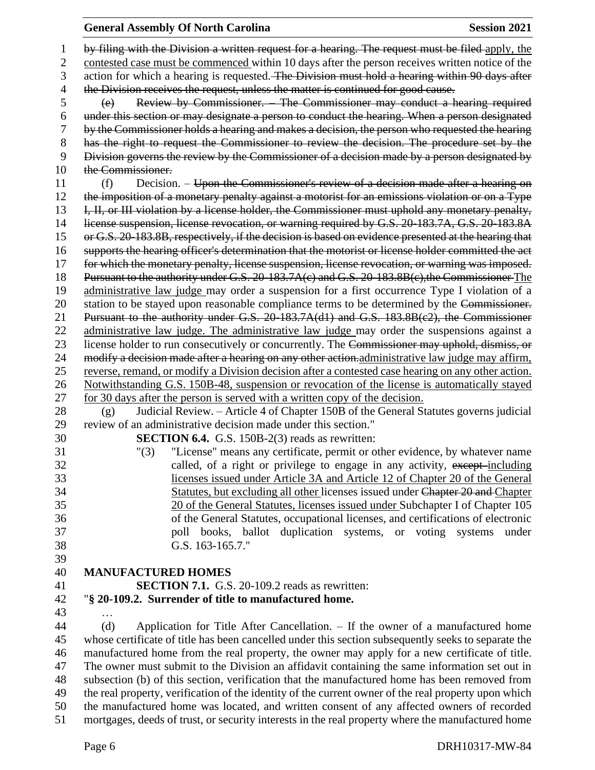#### **General Assembly Of North Carolina Session 2021**

 by filing with the Division a written request for a hearing. The request must be filed apply, the 2 contested case must be commenced within 10 days after the person receives written notice of the action for which a hearing is requested. The Division must hold a hearing within 90 days after 4 the Division receives the request, unless the matter is continued for good cause. (e) Review by Commissioner. – The Commissioner may conduct a hearing required under this section or may designate a person to conduct the hearing. When a person designated by the Commissioner holds a hearing and makes a decision, the person who requested the hearing 8 has the right to request the Commissioner to review the decision. The procedure set by the Division governs the review by the Commissioner of a decision made by a person designated by the Commissioner. 11 (f) Decision. – Upon the Commissioner's review of a decision made after a hearing on 12 the imposition of a monetary penalty against a motorist for an emissions violation or on a Type 13 I, II, or III violation by a license holder, the Commissioner must uphold any monetary penalty, license suspension, license revocation, or warning required by G.S. 20-183.7A, G.S. 20-183.8A or G.S. 20-183.8B, respectively, if the decision is based on evidence presented at the hearing that supports the hearing officer's determination that the motorist or license holder committed the act 17 for which the monetary penalty, license suspension, license revocation, or warning was imposed. 18 Pursuant to the authority under G.S. 20-183.7A(c) and G.S. 20-183.8B(c), the Commissioner The administrative law judge may order a suspension for a first occurrence Type I violation of a 20 station to be stayed upon reasonable compliance terms to be determined by the Commissioner. Pursuant to the authority under G.S. 20-183.7A(d1) and G.S. 183.8B(c2), the Commissioner 22 administrative law judge. The administrative law judge may order the suspensions against a 23 license holder to run consecutively or concurrently. The Commissioner may uphold, dismiss, or modify a decision made after a hearing on any other action.administrative law judge may affirm, reverse, remand, or modify a Division decision after a contested case hearing on any other action. Notwithstanding G.S. 150B-48, suspension or revocation of the license is automatically stayed for 30 days after the person is served with a written copy of the decision. (g) Judicial Review. – Article 4 of Chapter 150B of the General Statutes governs judicial review of an administrative decision made under this section." **SECTION 6.4.** G.S. 150B-2(3) reads as rewritten: "(3) "License" means any certificate, permit or other evidence, by whatever name 32 called, of a right or privilege to engage in any activity, except-including licenses issued under Article 3A and Article 12 of Chapter 20 of the General Statutes, but excluding all other licenses issued under Chapter 20 and Chapter 20 of the General Statutes, licenses issued under Subchapter I of Chapter 105 of the General Statutes, occupational licenses, and certifications of electronic poll books, ballot duplication systems, or voting systems under G.S. 163-165.7." **MANUFACTURED HOMES SECTION 7.1.** G.S. 20-109.2 reads as rewritten: "**§ 20-109.2. Surrender of title to manufactured home.** … (d) Application for Title After Cancellation. – If the owner of a manufactured home whose certificate of title has been cancelled under this section subsequently seeks to separate the manufactured home from the real property, the owner may apply for a new certificate of title. The owner must submit to the Division an affidavit containing the same information set out in subsection (b) of this section, verification that the manufactured home has been removed from the real property, verification of the identity of the current owner of the real property upon which the manufactured home was located, and written consent of any affected owners of recorded

mortgages, deeds of trust, or security interests in the real property where the manufactured home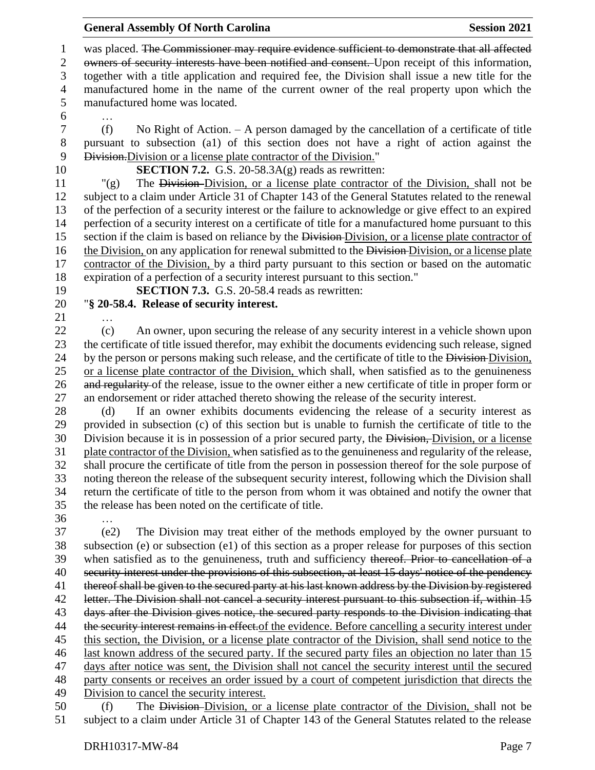1 was placed. The Commissioner may require evidence sufficient to demonstrate that all affected owners of security interests have been notified and consent. Upon receipt of this information, together with a title application and required fee, the Division shall issue a new title for the manufactured home in the name of the current owner of the real property upon which the manufactured home was located.

…

 (f) No Right of Action. – A person damaged by the cancellation of a certificate of title pursuant to subsection (a1) of this section does not have a right of action against the Division.Division or a license plate contractor of the Division."

**SECTION 7.2.** G.S. 20-58.3A(g) reads as rewritten:

 "(g) The Division Division, or a license plate contractor of the Division, shall not be subject to a claim under Article 31 of Chapter 143 of the General Statutes related to the renewal of the perfection of a security interest or the failure to acknowledge or give effect to an expired perfection of a security interest on a certificate of title for a manufactured home pursuant to this 15 section if the claim is based on reliance by the Division-Division, or a license plate contractor of 16 the Division, on any application for renewal submitted to the Division-Division, or a license plate contractor of the Division, by a third party pursuant to this section or based on the automatic expiration of a perfection of a security interest pursuant to this section."

**SECTION 7.3.** G.S. 20-58.4 reads as rewritten:

## "**§ 20-58.4. Release of security interest.**

…

 (c) An owner, upon securing the release of any security interest in a vehicle shown upon the certificate of title issued therefor, may exhibit the documents evidencing such release, signed 24 by the person or persons making such release, and the certificate of title to the Division. or a license plate contractor of the Division, which shall, when satisfied as to the genuineness and regularity of the release, issue to the owner either a new certificate of title in proper form or an endorsement or rider attached thereto showing the release of the security interest.

 (d) If an owner exhibits documents evidencing the release of a security interest as provided in subsection (c) of this section but is unable to furnish the certificate of title to the Division because it is in possession of a prior secured party, the Division, Division, or a license plate contractor of the Division, when satisfied as to the genuineness and regularity of the release, shall procure the certificate of title from the person in possession thereof for the sole purpose of noting thereon the release of the subsequent security interest, following which the Division shall return the certificate of title to the person from whom it was obtained and notify the owner that the release has been noted on the certificate of title.

…

 (e2) The Division may treat either of the methods employed by the owner pursuant to subsection (e) or subsection (e1) of this section as a proper release for purposes of this section when satisfied as to the genuineness, truth and sufficiency thereof. Prior to cancellation of a security interest under the provisions of this subsection, at least 15 days' notice of the pendency thereof shall be given to the secured party at his last known address by the Division by registered 42 letter. The Division shall not cancel a security interest pursuant to this subsection if, within 15 days after the Division gives notice, the secured party responds to the Division indicating that 44 the security interest remains in effect of the evidence. Before cancelling a security interest under this section, the Division, or a license plate contractor of the Division, shall send notice to the last known address of the secured party. If the secured party files an objection no later than 15 days after notice was sent, the Division shall not cancel the security interest until the secured party consents or receives an order issued by a court of competent jurisdiction that directs the Division to cancel the security interest.

 (f) The Division Division, or a license plate contractor of the Division, shall not be subject to a claim under Article 31 of Chapter 143 of the General Statutes related to the release